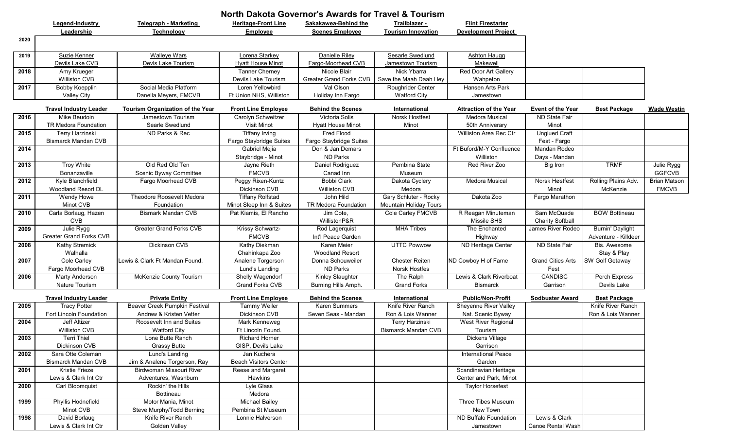| Legend-Industry<br><b>Flint Firestarter</b><br>Telegraph - Marketing<br><b>Heritage-Front Line</b><br>Sakakawea-Behind the<br>Trailblazer -<br>Leadership<br><b>Scenes Employee</b><br><b>Tourism Innovation</b><br><b>Development Project</b><br>Technology<br><b>Employee</b><br>2020<br><b>Walleye Wars</b><br>Lorena Starkey<br>Danielle Riley<br>Sesarle Swedlund<br>Suzie Kenner<br><b>Ashton Haugg</b><br>2019<br>Devils Lake CVB<br>Devls Lake Tourism<br><b>Hyatt House Minot</b><br>Fargo-Moorhead CVB<br>Jamestown Tourism<br>Makewell<br>Nick Ybarra<br>2018<br>Amy Krueger<br><b>Tanner Cherney</b><br>Nicole Blair<br>Red Door Art Gallery<br><b>Williston CVB</b><br><b>Greater Grand Forks CVB</b><br>Save the Maah Daah Hey<br>Devils Lake Tourism<br>Wahpeton<br>Social Media Platform<br>2017<br>Loren Yellowbird<br>Val Olson<br>Roughrider Center<br>Hansen Arts Park<br>Bobby Koepplin<br>Danella Meyers, FMCVB<br>Ft Union NHS, Williston<br><b>Watford City</b><br><b>Valley City</b><br>Holiday Inn Fargo<br>Jamestown<br><b>Travel Industry Leader</b><br><b>Tourism Organization of the Year</b><br><b>Front Line Employee</b><br><b>Behind the Scenes</b><br>International<br><b>Event of the Year</b><br><b>Best Package</b><br><b>Wade Westin</b><br><b>Attraction of the Year</b><br>2016<br>Victoria Solis<br>Norsk Hostfest<br>Mike Beudoin<br>Jamestown Tourism<br>Carolyn Schweitzer<br>Medora Musical<br>ND State Fair<br>TR Medora Foundation<br>Searle Swedlund<br>Minot<br>Visit Minot<br><b>Hyatt House Minot</b><br>Minot<br>50th Anniverary<br>2015<br>Terry Harzinski<br><b>Tiffany Irving</b><br>Fred Flood<br><b>Unglued Craft</b><br>ND Parks & Rec<br>Williston Area Rec Ctr<br><b>Bismarck Mandan CVB</b><br>Fargo Staybridge Suites<br>Fargo Staybridge Suites<br>Fest - Fargo<br>Ft Buford/M-Y Confluence<br>2014<br>Gabriel Mejia<br>Don & Jan Demars<br>Mandan Rodeo<br>ND Parks<br>Staybridge - Minot<br>Williston<br>Days - Mandan<br><b>Troy White</b><br>Old Red Old Ten<br><b>TRMF</b><br>2013<br>Jayne Rieth<br>Daniel Rodriguez<br>Pembina State<br>Red River Zoo<br>Julie Rygg<br>Big Iron<br>Bonanzaville<br><b>FMCVB</b><br><b>GGFCVB</b><br>Scenic Byway Committee<br>Canad Inn<br>Museum<br>2012<br>Kyle Blanchfield<br>Bobbi Clark<br>Rolling Plains Adv.<br>Fargo Moorhead CVB<br>Peggy Rixen-Kuntz<br>Dakota Cyclery<br><b>Medora Musical</b><br>Norsk Høstfest<br><b>Brian Matson</b><br>Woodland Resort DL<br>Dickinson CVB<br>Williston CVB<br>Medora<br>Minot<br><b>FMCVB</b><br>McKenzie<br>2011<br>Theodore Roosevelt Medora<br><b>Tiffany Rolfstad</b><br>John Hild<br>Gary Schluter - Rocky<br>Dakota Zoo<br>Fargo Marathon<br>Wendy Howe<br>Minot CVB<br>Foundation<br>Minot Sleep Inn & Suites<br>TR Medora Foundation<br>Mountain Holiday Tours<br><b>Bismark Mandan CVB</b><br>R Reagan Minuteman<br>Sam McQuade<br><b>BOW Bottineau</b><br>2010<br>Carla Borlaug, Hazen<br>Pat Kiamis, El Rancho<br>Jim Cote,<br>Cole Carley FMCVB<br>Missile SHS<br><b>CVB</b><br>WillistonP&R<br><b>Charity Softball</b><br><b>MHA Tribes</b><br>Julie Rygg<br><b>Greater Grand Forks CVB</b><br>Krissy Schwartz-<br>Rod Lagerquist<br>The Enchanted<br><b>Burnin' Daylight</b><br>2009<br>James River Rodeo<br>Greater Grand Forks CVB<br><b>FMCVB</b><br>Int'l Peace Garden<br>Adventure - Killdeer<br>Highway<br>2008<br>Dickinson CVB<br>Kathy Diekman<br>Karen Meier<br><b>UTTC Powwow</b><br>ND Heritage Center<br>ND State Fair<br>Bis. Awesome<br><b>Kathy Stremick</b><br>Walhalla<br>Chahinkapa Zoo<br>Stay & Play<br><b>Woodland Resort</b><br>2007<br>Lewis & Clark Ft Mandan Found.<br><b>Chester Reiten</b><br><b>Grand Cities Arts</b><br><b>SW Golf Getaway</b><br>Analene Torgerson<br>Donna Schouweiler<br>ND Cowboy H of Fame<br>Cole Carley<br>Fargo Moorhead CVB<br>Lund's Landing<br>ND Parks<br>Norsk Hostfes<br>Fest<br><b>CANDISC</b><br>2006<br><b>Marty Anderson</b><br>McKenzie County Tourism<br>Shelly Wagendorf<br>Kinley Slaughter<br>The Ralph<br>Lewis & Clark Riverboat<br>Perch Express<br>Nature Tourism<br>Grand Forks CVB<br>Burning Hills Amph.<br><b>Grand Forks</b><br>Garrison<br>Devils Lake<br><b>Bismarck</b><br><b>Private Entity</b><br><b>Behind the Scenes</b><br>Public/Non-Profit<br><b>Best Package</b><br><b>Travel Industry Leader</b><br><b>Front Line Employee</b><br>International<br><b>Sodbuster Award</b><br><b>Beaver Creek Pumpkin Festival</b><br>Karen Summers<br>Knife River Ranch<br>Sheyenne River Valley<br>Knife River Ranch<br>2005<br><b>Tracy Potter</b><br><b>Tammy Weiler</b><br>Fort Lincoln Foundation<br><b>Dickinson CVB</b><br>Andrew & Kristen Vetter<br>Seven Seas - Mandan<br>Ron & Lois Wanner<br>Nat. Scenic Byway<br>Ron & Lois Wanner<br><b>Jeff Altizer</b><br>Roosevelt Inn and Suites<br>2004<br>Mark Kenneweg<br>Terry Harzinski<br>West River Regional<br><b>Williston CVB</b><br>Ft Lincoln Found.<br><b>Bismarck Mandan CVB</b><br><b>Watford City</b><br>Tourism<br><b>Terri Thiel</b><br>Lone Butte Ranch<br>Dickens Village<br>2003<br><b>Richard Horner</b><br>Garrison<br>Dickinson CVB<br><b>Grassy Butte</b><br>GISP, Devils Lake<br>2002<br>Sara Otte Coleman<br>Lund's Landing<br>Jan Kuchera<br><b>International Peace</b><br><b>Bismarck Mandan CVB</b><br>Jim & Analene Torgerson, Ray<br><b>Beach Visitors Center</b><br>Garden<br>Birdwoman Missouri River<br>Reese and Margaret<br>2001<br>Kristie Frieze<br>Scandinavian Heritage<br>Lewis & Clark Int Ctr<br>Adventures, Washburn<br>Hawkins<br>Center and Park, Minot<br>Carl Bloomquist<br>Rockin' the Hills<br><b>Taylor Horsefest</b><br>2000<br>Lyle Glass<br>Bottineau<br>Medora<br>Phyllis Hodnefield<br>Motor Mania, Minot<br>Three Tibes Museum<br>1999<br><b>Michael Bailey</b><br>Minot CVB<br>Steve Murphy/Todd Berning<br>Pembina St Museum<br>New Town<br>Knife River Ranch<br>Lewis & Clark<br>David Borlaug<br>Lonnie Halverson<br>ND Buffalo Foundation<br>1998 | <b>North Dakota Governor's Awards for Travel &amp; Tourism</b> |                       |               |  |  |  |           |                   |  |  |  |
|-------------------------------------------------------------------------------------------------------------------------------------------------------------------------------------------------------------------------------------------------------------------------------------------------------------------------------------------------------------------------------------------------------------------------------------------------------------------------------------------------------------------------------------------------------------------------------------------------------------------------------------------------------------------------------------------------------------------------------------------------------------------------------------------------------------------------------------------------------------------------------------------------------------------------------------------------------------------------------------------------------------------------------------------------------------------------------------------------------------------------------------------------------------------------------------------------------------------------------------------------------------------------------------------------------------------------------------------------------------------------------------------------------------------------------------------------------------------------------------------------------------------------------------------------------------------------------------------------------------------------------------------------------------------------------------------------------------------------------------------------------------------------------------------------------------------------------------------------------------------------------------------------------------------------------------------------------------------------------------------------------------------------------------------------------------------------------------------------------------------------------------------------------------------------------------------------------------------------------------------------------------------------------------------------------------------------------------------------------------------------------------------------------------------------------------------------------------------------------------------------------------------------------------------------------------------------------------------------------------------------------------------------------------------------------------------------------------------------------------------------------------------------------------------------------------------------------------------------------------------------------------------------------------------------------------------------------------------------------------------------------------------------------------------------------------------------------------------------------------------------------------------------------------------------------------------------------------------------------------------------------------------------------------------------------------------------------------------------------------------------------------------------------------------------------------------------------------------------------------------------------------------------------------------------------------------------------------------------------------------------------------------------------------------------------------------------------------------------------------------------------------------------------------------------------------------------------------------------------------------------------------------------------------------------------------------------------------------------------------------------------------------------------------------------------------------------------------------------------------------------------------------------------------------------------------------------------------------------------------------------------------------------------------------------------------------------------------------------------------------------------------------------------------------------------------------------------------------------------------------------------------------------------------------------------------------------------------------------------------------------------------------------------------------------------------------------------------------------------------------------------------------------------------------------------------------------------------------------------------------------------------------------------------------------------------------------------------------------------------------------------------------------------------------------------------------------------------------------------------------------------------------------------------------------------------------------------------------------------------------------------------------------------------------------------------------------------------------------------------------------------------------------------------------------------------------------------------------------------------------------------------------------------------------------------------------------------------------------------------------------------------------------------------------------------------------------------------------------------------------------------------------------------------------------------------------------------------------------------------------------------------------------------------------------------------------------------------------------------------------------------------------|----------------------------------------------------------------|-----------------------|---------------|--|--|--|-----------|-------------------|--|--|--|
|                                                                                                                                                                                                                                                                                                                                                                                                                                                                                                                                                                                                                                                                                                                                                                                                                                                                                                                                                                                                                                                                                                                                                                                                                                                                                                                                                                                                                                                                                                                                                                                                                                                                                                                                                                                                                                                                                                                                                                                                                                                                                                                                                                                                                                                                                                                                                                                                                                                                                                                                                                                                                                                                                                                                                                                                                                                                                                                                                                                                                                                                                                                                                                                                                                                                                                                                                                                                                                                                                                                                                                                                                                                                                                                                                                                                                                                                                                                                                                                                                                                                                                                                                                                                                                                                                                                                                                                                                                                                                                                                                                                                                                                                                                                                                                                                                                                                                                                                                                                                                                                                                                                                                                                                                                                                                                                                                                                                                                                                                                                                                                                                                                                                                                                                                                                                                                                                                                                                                                                                                   |                                                                |                       |               |  |  |  |           |                   |  |  |  |
|                                                                                                                                                                                                                                                                                                                                                                                                                                                                                                                                                                                                                                                                                                                                                                                                                                                                                                                                                                                                                                                                                                                                                                                                                                                                                                                                                                                                                                                                                                                                                                                                                                                                                                                                                                                                                                                                                                                                                                                                                                                                                                                                                                                                                                                                                                                                                                                                                                                                                                                                                                                                                                                                                                                                                                                                                                                                                                                                                                                                                                                                                                                                                                                                                                                                                                                                                                                                                                                                                                                                                                                                                                                                                                                                                                                                                                                                                                                                                                                                                                                                                                                                                                                                                                                                                                                                                                                                                                                                                                                                                                                                                                                                                                                                                                                                                                                                                                                                                                                                                                                                                                                                                                                                                                                                                                                                                                                                                                                                                                                                                                                                                                                                                                                                                                                                                                                                                                                                                                                                                   |                                                                |                       |               |  |  |  |           |                   |  |  |  |
|                                                                                                                                                                                                                                                                                                                                                                                                                                                                                                                                                                                                                                                                                                                                                                                                                                                                                                                                                                                                                                                                                                                                                                                                                                                                                                                                                                                                                                                                                                                                                                                                                                                                                                                                                                                                                                                                                                                                                                                                                                                                                                                                                                                                                                                                                                                                                                                                                                                                                                                                                                                                                                                                                                                                                                                                                                                                                                                                                                                                                                                                                                                                                                                                                                                                                                                                                                                                                                                                                                                                                                                                                                                                                                                                                                                                                                                                                                                                                                                                                                                                                                                                                                                                                                                                                                                                                                                                                                                                                                                                                                                                                                                                                                                                                                                                                                                                                                                                                                                                                                                                                                                                                                                                                                                                                                                                                                                                                                                                                                                                                                                                                                                                                                                                                                                                                                                                                                                                                                                                                   |                                                                |                       |               |  |  |  |           |                   |  |  |  |
|                                                                                                                                                                                                                                                                                                                                                                                                                                                                                                                                                                                                                                                                                                                                                                                                                                                                                                                                                                                                                                                                                                                                                                                                                                                                                                                                                                                                                                                                                                                                                                                                                                                                                                                                                                                                                                                                                                                                                                                                                                                                                                                                                                                                                                                                                                                                                                                                                                                                                                                                                                                                                                                                                                                                                                                                                                                                                                                                                                                                                                                                                                                                                                                                                                                                                                                                                                                                                                                                                                                                                                                                                                                                                                                                                                                                                                                                                                                                                                                                                                                                                                                                                                                                                                                                                                                                                                                                                                                                                                                                                                                                                                                                                                                                                                                                                                                                                                                                                                                                                                                                                                                                                                                                                                                                                                                                                                                                                                                                                                                                                                                                                                                                                                                                                                                                                                                                                                                                                                                                                   |                                                                |                       |               |  |  |  |           |                   |  |  |  |
|                                                                                                                                                                                                                                                                                                                                                                                                                                                                                                                                                                                                                                                                                                                                                                                                                                                                                                                                                                                                                                                                                                                                                                                                                                                                                                                                                                                                                                                                                                                                                                                                                                                                                                                                                                                                                                                                                                                                                                                                                                                                                                                                                                                                                                                                                                                                                                                                                                                                                                                                                                                                                                                                                                                                                                                                                                                                                                                                                                                                                                                                                                                                                                                                                                                                                                                                                                                                                                                                                                                                                                                                                                                                                                                                                                                                                                                                                                                                                                                                                                                                                                                                                                                                                                                                                                                                                                                                                                                                                                                                                                                                                                                                                                                                                                                                                                                                                                                                                                                                                                                                                                                                                                                                                                                                                                                                                                                                                                                                                                                                                                                                                                                                                                                                                                                                                                                                                                                                                                                                                   |                                                                |                       |               |  |  |  |           |                   |  |  |  |
|                                                                                                                                                                                                                                                                                                                                                                                                                                                                                                                                                                                                                                                                                                                                                                                                                                                                                                                                                                                                                                                                                                                                                                                                                                                                                                                                                                                                                                                                                                                                                                                                                                                                                                                                                                                                                                                                                                                                                                                                                                                                                                                                                                                                                                                                                                                                                                                                                                                                                                                                                                                                                                                                                                                                                                                                                                                                                                                                                                                                                                                                                                                                                                                                                                                                                                                                                                                                                                                                                                                                                                                                                                                                                                                                                                                                                                                                                                                                                                                                                                                                                                                                                                                                                                                                                                                                                                                                                                                                                                                                                                                                                                                                                                                                                                                                                                                                                                                                                                                                                                                                                                                                                                                                                                                                                                                                                                                                                                                                                                                                                                                                                                                                                                                                                                                                                                                                                                                                                                                                                   |                                                                |                       |               |  |  |  |           |                   |  |  |  |
|                                                                                                                                                                                                                                                                                                                                                                                                                                                                                                                                                                                                                                                                                                                                                                                                                                                                                                                                                                                                                                                                                                                                                                                                                                                                                                                                                                                                                                                                                                                                                                                                                                                                                                                                                                                                                                                                                                                                                                                                                                                                                                                                                                                                                                                                                                                                                                                                                                                                                                                                                                                                                                                                                                                                                                                                                                                                                                                                                                                                                                                                                                                                                                                                                                                                                                                                                                                                                                                                                                                                                                                                                                                                                                                                                                                                                                                                                                                                                                                                                                                                                                                                                                                                                                                                                                                                                                                                                                                                                                                                                                                                                                                                                                                                                                                                                                                                                                                                                                                                                                                                                                                                                                                                                                                                                                                                                                                                                                                                                                                                                                                                                                                                                                                                                                                                                                                                                                                                                                                                                   |                                                                |                       |               |  |  |  |           |                   |  |  |  |
|                                                                                                                                                                                                                                                                                                                                                                                                                                                                                                                                                                                                                                                                                                                                                                                                                                                                                                                                                                                                                                                                                                                                                                                                                                                                                                                                                                                                                                                                                                                                                                                                                                                                                                                                                                                                                                                                                                                                                                                                                                                                                                                                                                                                                                                                                                                                                                                                                                                                                                                                                                                                                                                                                                                                                                                                                                                                                                                                                                                                                                                                                                                                                                                                                                                                                                                                                                                                                                                                                                                                                                                                                                                                                                                                                                                                                                                                                                                                                                                                                                                                                                                                                                                                                                                                                                                                                                                                                                                                                                                                                                                                                                                                                                                                                                                                                                                                                                                                                                                                                                                                                                                                                                                                                                                                                                                                                                                                                                                                                                                                                                                                                                                                                                                                                                                                                                                                                                                                                                                                                   |                                                                |                       |               |  |  |  |           |                   |  |  |  |
|                                                                                                                                                                                                                                                                                                                                                                                                                                                                                                                                                                                                                                                                                                                                                                                                                                                                                                                                                                                                                                                                                                                                                                                                                                                                                                                                                                                                                                                                                                                                                                                                                                                                                                                                                                                                                                                                                                                                                                                                                                                                                                                                                                                                                                                                                                                                                                                                                                                                                                                                                                                                                                                                                                                                                                                                                                                                                                                                                                                                                                                                                                                                                                                                                                                                                                                                                                                                                                                                                                                                                                                                                                                                                                                                                                                                                                                                                                                                                                                                                                                                                                                                                                                                                                                                                                                                                                                                                                                                                                                                                                                                                                                                                                                                                                                                                                                                                                                                                                                                                                                                                                                                                                                                                                                                                                                                                                                                                                                                                                                                                                                                                                                                                                                                                                                                                                                                                                                                                                                                                   |                                                                |                       |               |  |  |  |           |                   |  |  |  |
|                                                                                                                                                                                                                                                                                                                                                                                                                                                                                                                                                                                                                                                                                                                                                                                                                                                                                                                                                                                                                                                                                                                                                                                                                                                                                                                                                                                                                                                                                                                                                                                                                                                                                                                                                                                                                                                                                                                                                                                                                                                                                                                                                                                                                                                                                                                                                                                                                                                                                                                                                                                                                                                                                                                                                                                                                                                                                                                                                                                                                                                                                                                                                                                                                                                                                                                                                                                                                                                                                                                                                                                                                                                                                                                                                                                                                                                                                                                                                                                                                                                                                                                                                                                                                                                                                                                                                                                                                                                                                                                                                                                                                                                                                                                                                                                                                                                                                                                                                                                                                                                                                                                                                                                                                                                                                                                                                                                                                                                                                                                                                                                                                                                                                                                                                                                                                                                                                                                                                                                                                   |                                                                |                       |               |  |  |  |           |                   |  |  |  |
|                                                                                                                                                                                                                                                                                                                                                                                                                                                                                                                                                                                                                                                                                                                                                                                                                                                                                                                                                                                                                                                                                                                                                                                                                                                                                                                                                                                                                                                                                                                                                                                                                                                                                                                                                                                                                                                                                                                                                                                                                                                                                                                                                                                                                                                                                                                                                                                                                                                                                                                                                                                                                                                                                                                                                                                                                                                                                                                                                                                                                                                                                                                                                                                                                                                                                                                                                                                                                                                                                                                                                                                                                                                                                                                                                                                                                                                                                                                                                                                                                                                                                                                                                                                                                                                                                                                                                                                                                                                                                                                                                                                                                                                                                                                                                                                                                                                                                                                                                                                                                                                                                                                                                                                                                                                                                                                                                                                                                                                                                                                                                                                                                                                                                                                                                                                                                                                                                                                                                                                                                   |                                                                |                       |               |  |  |  |           |                   |  |  |  |
|                                                                                                                                                                                                                                                                                                                                                                                                                                                                                                                                                                                                                                                                                                                                                                                                                                                                                                                                                                                                                                                                                                                                                                                                                                                                                                                                                                                                                                                                                                                                                                                                                                                                                                                                                                                                                                                                                                                                                                                                                                                                                                                                                                                                                                                                                                                                                                                                                                                                                                                                                                                                                                                                                                                                                                                                                                                                                                                                                                                                                                                                                                                                                                                                                                                                                                                                                                                                                                                                                                                                                                                                                                                                                                                                                                                                                                                                                                                                                                                                                                                                                                                                                                                                                                                                                                                                                                                                                                                                                                                                                                                                                                                                                                                                                                                                                                                                                                                                                                                                                                                                                                                                                                                                                                                                                                                                                                                                                                                                                                                                                                                                                                                                                                                                                                                                                                                                                                                                                                                                                   |                                                                |                       |               |  |  |  |           |                   |  |  |  |
|                                                                                                                                                                                                                                                                                                                                                                                                                                                                                                                                                                                                                                                                                                                                                                                                                                                                                                                                                                                                                                                                                                                                                                                                                                                                                                                                                                                                                                                                                                                                                                                                                                                                                                                                                                                                                                                                                                                                                                                                                                                                                                                                                                                                                                                                                                                                                                                                                                                                                                                                                                                                                                                                                                                                                                                                                                                                                                                                                                                                                                                                                                                                                                                                                                                                                                                                                                                                                                                                                                                                                                                                                                                                                                                                                                                                                                                                                                                                                                                                                                                                                                                                                                                                                                                                                                                                                                                                                                                                                                                                                                                                                                                                                                                                                                                                                                                                                                                                                                                                                                                                                                                                                                                                                                                                                                                                                                                                                                                                                                                                                                                                                                                                                                                                                                                                                                                                                                                                                                                                                   |                                                                |                       |               |  |  |  |           |                   |  |  |  |
|                                                                                                                                                                                                                                                                                                                                                                                                                                                                                                                                                                                                                                                                                                                                                                                                                                                                                                                                                                                                                                                                                                                                                                                                                                                                                                                                                                                                                                                                                                                                                                                                                                                                                                                                                                                                                                                                                                                                                                                                                                                                                                                                                                                                                                                                                                                                                                                                                                                                                                                                                                                                                                                                                                                                                                                                                                                                                                                                                                                                                                                                                                                                                                                                                                                                                                                                                                                                                                                                                                                                                                                                                                                                                                                                                                                                                                                                                                                                                                                                                                                                                                                                                                                                                                                                                                                                                                                                                                                                                                                                                                                                                                                                                                                                                                                                                                                                                                                                                                                                                                                                                                                                                                                                                                                                                                                                                                                                                                                                                                                                                                                                                                                                                                                                                                                                                                                                                                                                                                                                                   |                                                                |                       |               |  |  |  |           |                   |  |  |  |
|                                                                                                                                                                                                                                                                                                                                                                                                                                                                                                                                                                                                                                                                                                                                                                                                                                                                                                                                                                                                                                                                                                                                                                                                                                                                                                                                                                                                                                                                                                                                                                                                                                                                                                                                                                                                                                                                                                                                                                                                                                                                                                                                                                                                                                                                                                                                                                                                                                                                                                                                                                                                                                                                                                                                                                                                                                                                                                                                                                                                                                                                                                                                                                                                                                                                                                                                                                                                                                                                                                                                                                                                                                                                                                                                                                                                                                                                                                                                                                                                                                                                                                                                                                                                                                                                                                                                                                                                                                                                                                                                                                                                                                                                                                                                                                                                                                                                                                                                                                                                                                                                                                                                                                                                                                                                                                                                                                                                                                                                                                                                                                                                                                                                                                                                                                                                                                                                                                                                                                                                                   |                                                                |                       |               |  |  |  |           |                   |  |  |  |
|                                                                                                                                                                                                                                                                                                                                                                                                                                                                                                                                                                                                                                                                                                                                                                                                                                                                                                                                                                                                                                                                                                                                                                                                                                                                                                                                                                                                                                                                                                                                                                                                                                                                                                                                                                                                                                                                                                                                                                                                                                                                                                                                                                                                                                                                                                                                                                                                                                                                                                                                                                                                                                                                                                                                                                                                                                                                                                                                                                                                                                                                                                                                                                                                                                                                                                                                                                                                                                                                                                                                                                                                                                                                                                                                                                                                                                                                                                                                                                                                                                                                                                                                                                                                                                                                                                                                                                                                                                                                                                                                                                                                                                                                                                                                                                                                                                                                                                                                                                                                                                                                                                                                                                                                                                                                                                                                                                                                                                                                                                                                                                                                                                                                                                                                                                                                                                                                                                                                                                                                                   |                                                                |                       |               |  |  |  |           |                   |  |  |  |
|                                                                                                                                                                                                                                                                                                                                                                                                                                                                                                                                                                                                                                                                                                                                                                                                                                                                                                                                                                                                                                                                                                                                                                                                                                                                                                                                                                                                                                                                                                                                                                                                                                                                                                                                                                                                                                                                                                                                                                                                                                                                                                                                                                                                                                                                                                                                                                                                                                                                                                                                                                                                                                                                                                                                                                                                                                                                                                                                                                                                                                                                                                                                                                                                                                                                                                                                                                                                                                                                                                                                                                                                                                                                                                                                                                                                                                                                                                                                                                                                                                                                                                                                                                                                                                                                                                                                                                                                                                                                                                                                                                                                                                                                                                                                                                                                                                                                                                                                                                                                                                                                                                                                                                                                                                                                                                                                                                                                                                                                                                                                                                                                                                                                                                                                                                                                                                                                                                                                                                                                                   |                                                                |                       |               |  |  |  |           |                   |  |  |  |
|                                                                                                                                                                                                                                                                                                                                                                                                                                                                                                                                                                                                                                                                                                                                                                                                                                                                                                                                                                                                                                                                                                                                                                                                                                                                                                                                                                                                                                                                                                                                                                                                                                                                                                                                                                                                                                                                                                                                                                                                                                                                                                                                                                                                                                                                                                                                                                                                                                                                                                                                                                                                                                                                                                                                                                                                                                                                                                                                                                                                                                                                                                                                                                                                                                                                                                                                                                                                                                                                                                                                                                                                                                                                                                                                                                                                                                                                                                                                                                                                                                                                                                                                                                                                                                                                                                                                                                                                                                                                                                                                                                                                                                                                                                                                                                                                                                                                                                                                                                                                                                                                                                                                                                                                                                                                                                                                                                                                                                                                                                                                                                                                                                                                                                                                                                                                                                                                                                                                                                                                                   |                                                                |                       |               |  |  |  |           |                   |  |  |  |
|                                                                                                                                                                                                                                                                                                                                                                                                                                                                                                                                                                                                                                                                                                                                                                                                                                                                                                                                                                                                                                                                                                                                                                                                                                                                                                                                                                                                                                                                                                                                                                                                                                                                                                                                                                                                                                                                                                                                                                                                                                                                                                                                                                                                                                                                                                                                                                                                                                                                                                                                                                                                                                                                                                                                                                                                                                                                                                                                                                                                                                                                                                                                                                                                                                                                                                                                                                                                                                                                                                                                                                                                                                                                                                                                                                                                                                                                                                                                                                                                                                                                                                                                                                                                                                                                                                                                                                                                                                                                                                                                                                                                                                                                                                                                                                                                                                                                                                                                                                                                                                                                                                                                                                                                                                                                                                                                                                                                                                                                                                                                                                                                                                                                                                                                                                                                                                                                                                                                                                                                                   |                                                                |                       |               |  |  |  |           |                   |  |  |  |
|                                                                                                                                                                                                                                                                                                                                                                                                                                                                                                                                                                                                                                                                                                                                                                                                                                                                                                                                                                                                                                                                                                                                                                                                                                                                                                                                                                                                                                                                                                                                                                                                                                                                                                                                                                                                                                                                                                                                                                                                                                                                                                                                                                                                                                                                                                                                                                                                                                                                                                                                                                                                                                                                                                                                                                                                                                                                                                                                                                                                                                                                                                                                                                                                                                                                                                                                                                                                                                                                                                                                                                                                                                                                                                                                                                                                                                                                                                                                                                                                                                                                                                                                                                                                                                                                                                                                                                                                                                                                                                                                                                                                                                                                                                                                                                                                                                                                                                                                                                                                                                                                                                                                                                                                                                                                                                                                                                                                                                                                                                                                                                                                                                                                                                                                                                                                                                                                                                                                                                                                                   |                                                                |                       |               |  |  |  |           |                   |  |  |  |
|                                                                                                                                                                                                                                                                                                                                                                                                                                                                                                                                                                                                                                                                                                                                                                                                                                                                                                                                                                                                                                                                                                                                                                                                                                                                                                                                                                                                                                                                                                                                                                                                                                                                                                                                                                                                                                                                                                                                                                                                                                                                                                                                                                                                                                                                                                                                                                                                                                                                                                                                                                                                                                                                                                                                                                                                                                                                                                                                                                                                                                                                                                                                                                                                                                                                                                                                                                                                                                                                                                                                                                                                                                                                                                                                                                                                                                                                                                                                                                                                                                                                                                                                                                                                                                                                                                                                                                                                                                                                                                                                                                                                                                                                                                                                                                                                                                                                                                                                                                                                                                                                                                                                                                                                                                                                                                                                                                                                                                                                                                                                                                                                                                                                                                                                                                                                                                                                                                                                                                                                                   |                                                                |                       |               |  |  |  |           |                   |  |  |  |
|                                                                                                                                                                                                                                                                                                                                                                                                                                                                                                                                                                                                                                                                                                                                                                                                                                                                                                                                                                                                                                                                                                                                                                                                                                                                                                                                                                                                                                                                                                                                                                                                                                                                                                                                                                                                                                                                                                                                                                                                                                                                                                                                                                                                                                                                                                                                                                                                                                                                                                                                                                                                                                                                                                                                                                                                                                                                                                                                                                                                                                                                                                                                                                                                                                                                                                                                                                                                                                                                                                                                                                                                                                                                                                                                                                                                                                                                                                                                                                                                                                                                                                                                                                                                                                                                                                                                                                                                                                                                                                                                                                                                                                                                                                                                                                                                                                                                                                                                                                                                                                                                                                                                                                                                                                                                                                                                                                                                                                                                                                                                                                                                                                                                                                                                                                                                                                                                                                                                                                                                                   |                                                                |                       |               |  |  |  |           |                   |  |  |  |
|                                                                                                                                                                                                                                                                                                                                                                                                                                                                                                                                                                                                                                                                                                                                                                                                                                                                                                                                                                                                                                                                                                                                                                                                                                                                                                                                                                                                                                                                                                                                                                                                                                                                                                                                                                                                                                                                                                                                                                                                                                                                                                                                                                                                                                                                                                                                                                                                                                                                                                                                                                                                                                                                                                                                                                                                                                                                                                                                                                                                                                                                                                                                                                                                                                                                                                                                                                                                                                                                                                                                                                                                                                                                                                                                                                                                                                                                                                                                                                                                                                                                                                                                                                                                                                                                                                                                                                                                                                                                                                                                                                                                                                                                                                                                                                                                                                                                                                                                                                                                                                                                                                                                                                                                                                                                                                                                                                                                                                                                                                                                                                                                                                                                                                                                                                                                                                                                                                                                                                                                                   |                                                                |                       |               |  |  |  |           |                   |  |  |  |
|                                                                                                                                                                                                                                                                                                                                                                                                                                                                                                                                                                                                                                                                                                                                                                                                                                                                                                                                                                                                                                                                                                                                                                                                                                                                                                                                                                                                                                                                                                                                                                                                                                                                                                                                                                                                                                                                                                                                                                                                                                                                                                                                                                                                                                                                                                                                                                                                                                                                                                                                                                                                                                                                                                                                                                                                                                                                                                                                                                                                                                                                                                                                                                                                                                                                                                                                                                                                                                                                                                                                                                                                                                                                                                                                                                                                                                                                                                                                                                                                                                                                                                                                                                                                                                                                                                                                                                                                                                                                                                                                                                                                                                                                                                                                                                                                                                                                                                                                                                                                                                                                                                                                                                                                                                                                                                                                                                                                                                                                                                                                                                                                                                                                                                                                                                                                                                                                                                                                                                                                                   |                                                                |                       |               |  |  |  |           |                   |  |  |  |
|                                                                                                                                                                                                                                                                                                                                                                                                                                                                                                                                                                                                                                                                                                                                                                                                                                                                                                                                                                                                                                                                                                                                                                                                                                                                                                                                                                                                                                                                                                                                                                                                                                                                                                                                                                                                                                                                                                                                                                                                                                                                                                                                                                                                                                                                                                                                                                                                                                                                                                                                                                                                                                                                                                                                                                                                                                                                                                                                                                                                                                                                                                                                                                                                                                                                                                                                                                                                                                                                                                                                                                                                                                                                                                                                                                                                                                                                                                                                                                                                                                                                                                                                                                                                                                                                                                                                                                                                                                                                                                                                                                                                                                                                                                                                                                                                                                                                                                                                                                                                                                                                                                                                                                                                                                                                                                                                                                                                                                                                                                                                                                                                                                                                                                                                                                                                                                                                                                                                                                                                                   |                                                                |                       |               |  |  |  |           |                   |  |  |  |
|                                                                                                                                                                                                                                                                                                                                                                                                                                                                                                                                                                                                                                                                                                                                                                                                                                                                                                                                                                                                                                                                                                                                                                                                                                                                                                                                                                                                                                                                                                                                                                                                                                                                                                                                                                                                                                                                                                                                                                                                                                                                                                                                                                                                                                                                                                                                                                                                                                                                                                                                                                                                                                                                                                                                                                                                                                                                                                                                                                                                                                                                                                                                                                                                                                                                                                                                                                                                                                                                                                                                                                                                                                                                                                                                                                                                                                                                                                                                                                                                                                                                                                                                                                                                                                                                                                                                                                                                                                                                                                                                                                                                                                                                                                                                                                                                                                                                                                                                                                                                                                                                                                                                                                                                                                                                                                                                                                                                                                                                                                                                                                                                                                                                                                                                                                                                                                                                                                                                                                                                                   |                                                                |                       |               |  |  |  |           |                   |  |  |  |
|                                                                                                                                                                                                                                                                                                                                                                                                                                                                                                                                                                                                                                                                                                                                                                                                                                                                                                                                                                                                                                                                                                                                                                                                                                                                                                                                                                                                                                                                                                                                                                                                                                                                                                                                                                                                                                                                                                                                                                                                                                                                                                                                                                                                                                                                                                                                                                                                                                                                                                                                                                                                                                                                                                                                                                                                                                                                                                                                                                                                                                                                                                                                                                                                                                                                                                                                                                                                                                                                                                                                                                                                                                                                                                                                                                                                                                                                                                                                                                                                                                                                                                                                                                                                                                                                                                                                                                                                                                                                                                                                                                                                                                                                                                                                                                                                                                                                                                                                                                                                                                                                                                                                                                                                                                                                                                                                                                                                                                                                                                                                                                                                                                                                                                                                                                                                                                                                                                                                                                                                                   |                                                                |                       |               |  |  |  |           |                   |  |  |  |
|                                                                                                                                                                                                                                                                                                                                                                                                                                                                                                                                                                                                                                                                                                                                                                                                                                                                                                                                                                                                                                                                                                                                                                                                                                                                                                                                                                                                                                                                                                                                                                                                                                                                                                                                                                                                                                                                                                                                                                                                                                                                                                                                                                                                                                                                                                                                                                                                                                                                                                                                                                                                                                                                                                                                                                                                                                                                                                                                                                                                                                                                                                                                                                                                                                                                                                                                                                                                                                                                                                                                                                                                                                                                                                                                                                                                                                                                                                                                                                                                                                                                                                                                                                                                                                                                                                                                                                                                                                                                                                                                                                                                                                                                                                                                                                                                                                                                                                                                                                                                                                                                                                                                                                                                                                                                                                                                                                                                                                                                                                                                                                                                                                                                                                                                                                                                                                                                                                                                                                                                                   |                                                                |                       |               |  |  |  |           |                   |  |  |  |
|                                                                                                                                                                                                                                                                                                                                                                                                                                                                                                                                                                                                                                                                                                                                                                                                                                                                                                                                                                                                                                                                                                                                                                                                                                                                                                                                                                                                                                                                                                                                                                                                                                                                                                                                                                                                                                                                                                                                                                                                                                                                                                                                                                                                                                                                                                                                                                                                                                                                                                                                                                                                                                                                                                                                                                                                                                                                                                                                                                                                                                                                                                                                                                                                                                                                                                                                                                                                                                                                                                                                                                                                                                                                                                                                                                                                                                                                                                                                                                                                                                                                                                                                                                                                                                                                                                                                                                                                                                                                                                                                                                                                                                                                                                                                                                                                                                                                                                                                                                                                                                                                                                                                                                                                                                                                                                                                                                                                                                                                                                                                                                                                                                                                                                                                                                                                                                                                                                                                                                                                                   |                                                                |                       |               |  |  |  |           |                   |  |  |  |
|                                                                                                                                                                                                                                                                                                                                                                                                                                                                                                                                                                                                                                                                                                                                                                                                                                                                                                                                                                                                                                                                                                                                                                                                                                                                                                                                                                                                                                                                                                                                                                                                                                                                                                                                                                                                                                                                                                                                                                                                                                                                                                                                                                                                                                                                                                                                                                                                                                                                                                                                                                                                                                                                                                                                                                                                                                                                                                                                                                                                                                                                                                                                                                                                                                                                                                                                                                                                                                                                                                                                                                                                                                                                                                                                                                                                                                                                                                                                                                                                                                                                                                                                                                                                                                                                                                                                                                                                                                                                                                                                                                                                                                                                                                                                                                                                                                                                                                                                                                                                                                                                                                                                                                                                                                                                                                                                                                                                                                                                                                                                                                                                                                                                                                                                                                                                                                                                                                                                                                                                                   |                                                                |                       |               |  |  |  |           |                   |  |  |  |
|                                                                                                                                                                                                                                                                                                                                                                                                                                                                                                                                                                                                                                                                                                                                                                                                                                                                                                                                                                                                                                                                                                                                                                                                                                                                                                                                                                                                                                                                                                                                                                                                                                                                                                                                                                                                                                                                                                                                                                                                                                                                                                                                                                                                                                                                                                                                                                                                                                                                                                                                                                                                                                                                                                                                                                                                                                                                                                                                                                                                                                                                                                                                                                                                                                                                                                                                                                                                                                                                                                                                                                                                                                                                                                                                                                                                                                                                                                                                                                                                                                                                                                                                                                                                                                                                                                                                                                                                                                                                                                                                                                                                                                                                                                                                                                                                                                                                                                                                                                                                                                                                                                                                                                                                                                                                                                                                                                                                                                                                                                                                                                                                                                                                                                                                                                                                                                                                                                                                                                                                                   |                                                                |                       |               |  |  |  |           |                   |  |  |  |
|                                                                                                                                                                                                                                                                                                                                                                                                                                                                                                                                                                                                                                                                                                                                                                                                                                                                                                                                                                                                                                                                                                                                                                                                                                                                                                                                                                                                                                                                                                                                                                                                                                                                                                                                                                                                                                                                                                                                                                                                                                                                                                                                                                                                                                                                                                                                                                                                                                                                                                                                                                                                                                                                                                                                                                                                                                                                                                                                                                                                                                                                                                                                                                                                                                                                                                                                                                                                                                                                                                                                                                                                                                                                                                                                                                                                                                                                                                                                                                                                                                                                                                                                                                                                                                                                                                                                                                                                                                                                                                                                                                                                                                                                                                                                                                                                                                                                                                                                                                                                                                                                                                                                                                                                                                                                                                                                                                                                                                                                                                                                                                                                                                                                                                                                                                                                                                                                                                                                                                                                                   |                                                                |                       |               |  |  |  |           |                   |  |  |  |
|                                                                                                                                                                                                                                                                                                                                                                                                                                                                                                                                                                                                                                                                                                                                                                                                                                                                                                                                                                                                                                                                                                                                                                                                                                                                                                                                                                                                                                                                                                                                                                                                                                                                                                                                                                                                                                                                                                                                                                                                                                                                                                                                                                                                                                                                                                                                                                                                                                                                                                                                                                                                                                                                                                                                                                                                                                                                                                                                                                                                                                                                                                                                                                                                                                                                                                                                                                                                                                                                                                                                                                                                                                                                                                                                                                                                                                                                                                                                                                                                                                                                                                                                                                                                                                                                                                                                                                                                                                                                                                                                                                                                                                                                                                                                                                                                                                                                                                                                                                                                                                                                                                                                                                                                                                                                                                                                                                                                                                                                                                                                                                                                                                                                                                                                                                                                                                                                                                                                                                                                                   |                                                                |                       |               |  |  |  |           |                   |  |  |  |
|                                                                                                                                                                                                                                                                                                                                                                                                                                                                                                                                                                                                                                                                                                                                                                                                                                                                                                                                                                                                                                                                                                                                                                                                                                                                                                                                                                                                                                                                                                                                                                                                                                                                                                                                                                                                                                                                                                                                                                                                                                                                                                                                                                                                                                                                                                                                                                                                                                                                                                                                                                                                                                                                                                                                                                                                                                                                                                                                                                                                                                                                                                                                                                                                                                                                                                                                                                                                                                                                                                                                                                                                                                                                                                                                                                                                                                                                                                                                                                                                                                                                                                                                                                                                                                                                                                                                                                                                                                                                                                                                                                                                                                                                                                                                                                                                                                                                                                                                                                                                                                                                                                                                                                                                                                                                                                                                                                                                                                                                                                                                                                                                                                                                                                                                                                                                                                                                                                                                                                                                                   |                                                                |                       |               |  |  |  |           |                   |  |  |  |
|                                                                                                                                                                                                                                                                                                                                                                                                                                                                                                                                                                                                                                                                                                                                                                                                                                                                                                                                                                                                                                                                                                                                                                                                                                                                                                                                                                                                                                                                                                                                                                                                                                                                                                                                                                                                                                                                                                                                                                                                                                                                                                                                                                                                                                                                                                                                                                                                                                                                                                                                                                                                                                                                                                                                                                                                                                                                                                                                                                                                                                                                                                                                                                                                                                                                                                                                                                                                                                                                                                                                                                                                                                                                                                                                                                                                                                                                                                                                                                                                                                                                                                                                                                                                                                                                                                                                                                                                                                                                                                                                                                                                                                                                                                                                                                                                                                                                                                                                                                                                                                                                                                                                                                                                                                                                                                                                                                                                                                                                                                                                                                                                                                                                                                                                                                                                                                                                                                                                                                                                                   |                                                                |                       |               |  |  |  |           |                   |  |  |  |
|                                                                                                                                                                                                                                                                                                                                                                                                                                                                                                                                                                                                                                                                                                                                                                                                                                                                                                                                                                                                                                                                                                                                                                                                                                                                                                                                                                                                                                                                                                                                                                                                                                                                                                                                                                                                                                                                                                                                                                                                                                                                                                                                                                                                                                                                                                                                                                                                                                                                                                                                                                                                                                                                                                                                                                                                                                                                                                                                                                                                                                                                                                                                                                                                                                                                                                                                                                                                                                                                                                                                                                                                                                                                                                                                                                                                                                                                                                                                                                                                                                                                                                                                                                                                                                                                                                                                                                                                                                                                                                                                                                                                                                                                                                                                                                                                                                                                                                                                                                                                                                                                                                                                                                                                                                                                                                                                                                                                                                                                                                                                                                                                                                                                                                                                                                                                                                                                                                                                                                                                                   |                                                                |                       |               |  |  |  |           |                   |  |  |  |
|                                                                                                                                                                                                                                                                                                                                                                                                                                                                                                                                                                                                                                                                                                                                                                                                                                                                                                                                                                                                                                                                                                                                                                                                                                                                                                                                                                                                                                                                                                                                                                                                                                                                                                                                                                                                                                                                                                                                                                                                                                                                                                                                                                                                                                                                                                                                                                                                                                                                                                                                                                                                                                                                                                                                                                                                                                                                                                                                                                                                                                                                                                                                                                                                                                                                                                                                                                                                                                                                                                                                                                                                                                                                                                                                                                                                                                                                                                                                                                                                                                                                                                                                                                                                                                                                                                                                                                                                                                                                                                                                                                                                                                                                                                                                                                                                                                                                                                                                                                                                                                                                                                                                                                                                                                                                                                                                                                                                                                                                                                                                                                                                                                                                                                                                                                                                                                                                                                                                                                                                                   |                                                                |                       |               |  |  |  |           |                   |  |  |  |
|                                                                                                                                                                                                                                                                                                                                                                                                                                                                                                                                                                                                                                                                                                                                                                                                                                                                                                                                                                                                                                                                                                                                                                                                                                                                                                                                                                                                                                                                                                                                                                                                                                                                                                                                                                                                                                                                                                                                                                                                                                                                                                                                                                                                                                                                                                                                                                                                                                                                                                                                                                                                                                                                                                                                                                                                                                                                                                                                                                                                                                                                                                                                                                                                                                                                                                                                                                                                                                                                                                                                                                                                                                                                                                                                                                                                                                                                                                                                                                                                                                                                                                                                                                                                                                                                                                                                                                                                                                                                                                                                                                                                                                                                                                                                                                                                                                                                                                                                                                                                                                                                                                                                                                                                                                                                                                                                                                                                                                                                                                                                                                                                                                                                                                                                                                                                                                                                                                                                                                                                                   |                                                                |                       |               |  |  |  |           |                   |  |  |  |
|                                                                                                                                                                                                                                                                                                                                                                                                                                                                                                                                                                                                                                                                                                                                                                                                                                                                                                                                                                                                                                                                                                                                                                                                                                                                                                                                                                                                                                                                                                                                                                                                                                                                                                                                                                                                                                                                                                                                                                                                                                                                                                                                                                                                                                                                                                                                                                                                                                                                                                                                                                                                                                                                                                                                                                                                                                                                                                                                                                                                                                                                                                                                                                                                                                                                                                                                                                                                                                                                                                                                                                                                                                                                                                                                                                                                                                                                                                                                                                                                                                                                                                                                                                                                                                                                                                                                                                                                                                                                                                                                                                                                                                                                                                                                                                                                                                                                                                                                                                                                                                                                                                                                                                                                                                                                                                                                                                                                                                                                                                                                                                                                                                                                                                                                                                                                                                                                                                                                                                                                                   |                                                                |                       |               |  |  |  |           |                   |  |  |  |
|                                                                                                                                                                                                                                                                                                                                                                                                                                                                                                                                                                                                                                                                                                                                                                                                                                                                                                                                                                                                                                                                                                                                                                                                                                                                                                                                                                                                                                                                                                                                                                                                                                                                                                                                                                                                                                                                                                                                                                                                                                                                                                                                                                                                                                                                                                                                                                                                                                                                                                                                                                                                                                                                                                                                                                                                                                                                                                                                                                                                                                                                                                                                                                                                                                                                                                                                                                                                                                                                                                                                                                                                                                                                                                                                                                                                                                                                                                                                                                                                                                                                                                                                                                                                                                                                                                                                                                                                                                                                                                                                                                                                                                                                                                                                                                                                                                                                                                                                                                                                                                                                                                                                                                                                                                                                                                                                                                                                                                                                                                                                                                                                                                                                                                                                                                                                                                                                                                                                                                                                                   |                                                                |                       |               |  |  |  |           |                   |  |  |  |
|                                                                                                                                                                                                                                                                                                                                                                                                                                                                                                                                                                                                                                                                                                                                                                                                                                                                                                                                                                                                                                                                                                                                                                                                                                                                                                                                                                                                                                                                                                                                                                                                                                                                                                                                                                                                                                                                                                                                                                                                                                                                                                                                                                                                                                                                                                                                                                                                                                                                                                                                                                                                                                                                                                                                                                                                                                                                                                                                                                                                                                                                                                                                                                                                                                                                                                                                                                                                                                                                                                                                                                                                                                                                                                                                                                                                                                                                                                                                                                                                                                                                                                                                                                                                                                                                                                                                                                                                                                                                                                                                                                                                                                                                                                                                                                                                                                                                                                                                                                                                                                                                                                                                                                                                                                                                                                                                                                                                                                                                                                                                                                                                                                                                                                                                                                                                                                                                                                                                                                                                                   |                                                                |                       |               |  |  |  |           |                   |  |  |  |
|                                                                                                                                                                                                                                                                                                                                                                                                                                                                                                                                                                                                                                                                                                                                                                                                                                                                                                                                                                                                                                                                                                                                                                                                                                                                                                                                                                                                                                                                                                                                                                                                                                                                                                                                                                                                                                                                                                                                                                                                                                                                                                                                                                                                                                                                                                                                                                                                                                                                                                                                                                                                                                                                                                                                                                                                                                                                                                                                                                                                                                                                                                                                                                                                                                                                                                                                                                                                                                                                                                                                                                                                                                                                                                                                                                                                                                                                                                                                                                                                                                                                                                                                                                                                                                                                                                                                                                                                                                                                                                                                                                                                                                                                                                                                                                                                                                                                                                                                                                                                                                                                                                                                                                                                                                                                                                                                                                                                                                                                                                                                                                                                                                                                                                                                                                                                                                                                                                                                                                                                                   |                                                                |                       |               |  |  |  |           |                   |  |  |  |
|                                                                                                                                                                                                                                                                                                                                                                                                                                                                                                                                                                                                                                                                                                                                                                                                                                                                                                                                                                                                                                                                                                                                                                                                                                                                                                                                                                                                                                                                                                                                                                                                                                                                                                                                                                                                                                                                                                                                                                                                                                                                                                                                                                                                                                                                                                                                                                                                                                                                                                                                                                                                                                                                                                                                                                                                                                                                                                                                                                                                                                                                                                                                                                                                                                                                                                                                                                                                                                                                                                                                                                                                                                                                                                                                                                                                                                                                                                                                                                                                                                                                                                                                                                                                                                                                                                                                                                                                                                                                                                                                                                                                                                                                                                                                                                                                                                                                                                                                                                                                                                                                                                                                                                                                                                                                                                                                                                                                                                                                                                                                                                                                                                                                                                                                                                                                                                                                                                                                                                                                                   |                                                                |                       |               |  |  |  |           |                   |  |  |  |
|                                                                                                                                                                                                                                                                                                                                                                                                                                                                                                                                                                                                                                                                                                                                                                                                                                                                                                                                                                                                                                                                                                                                                                                                                                                                                                                                                                                                                                                                                                                                                                                                                                                                                                                                                                                                                                                                                                                                                                                                                                                                                                                                                                                                                                                                                                                                                                                                                                                                                                                                                                                                                                                                                                                                                                                                                                                                                                                                                                                                                                                                                                                                                                                                                                                                                                                                                                                                                                                                                                                                                                                                                                                                                                                                                                                                                                                                                                                                                                                                                                                                                                                                                                                                                                                                                                                                                                                                                                                                                                                                                                                                                                                                                                                                                                                                                                                                                                                                                                                                                                                                                                                                                                                                                                                                                                                                                                                                                                                                                                                                                                                                                                                                                                                                                                                                                                                                                                                                                                                                                   |                                                                |                       |               |  |  |  |           |                   |  |  |  |
|                                                                                                                                                                                                                                                                                                                                                                                                                                                                                                                                                                                                                                                                                                                                                                                                                                                                                                                                                                                                                                                                                                                                                                                                                                                                                                                                                                                                                                                                                                                                                                                                                                                                                                                                                                                                                                                                                                                                                                                                                                                                                                                                                                                                                                                                                                                                                                                                                                                                                                                                                                                                                                                                                                                                                                                                                                                                                                                                                                                                                                                                                                                                                                                                                                                                                                                                                                                                                                                                                                                                                                                                                                                                                                                                                                                                                                                                                                                                                                                                                                                                                                                                                                                                                                                                                                                                                                                                                                                                                                                                                                                                                                                                                                                                                                                                                                                                                                                                                                                                                                                                                                                                                                                                                                                                                                                                                                                                                                                                                                                                                                                                                                                                                                                                                                                                                                                                                                                                                                                                                   |                                                                |                       |               |  |  |  |           |                   |  |  |  |
|                                                                                                                                                                                                                                                                                                                                                                                                                                                                                                                                                                                                                                                                                                                                                                                                                                                                                                                                                                                                                                                                                                                                                                                                                                                                                                                                                                                                                                                                                                                                                                                                                                                                                                                                                                                                                                                                                                                                                                                                                                                                                                                                                                                                                                                                                                                                                                                                                                                                                                                                                                                                                                                                                                                                                                                                                                                                                                                                                                                                                                                                                                                                                                                                                                                                                                                                                                                                                                                                                                                                                                                                                                                                                                                                                                                                                                                                                                                                                                                                                                                                                                                                                                                                                                                                                                                                                                                                                                                                                                                                                                                                                                                                                                                                                                                                                                                                                                                                                                                                                                                                                                                                                                                                                                                                                                                                                                                                                                                                                                                                                                                                                                                                                                                                                                                                                                                                                                                                                                                                                   |                                                                |                       |               |  |  |  |           |                   |  |  |  |
|                                                                                                                                                                                                                                                                                                                                                                                                                                                                                                                                                                                                                                                                                                                                                                                                                                                                                                                                                                                                                                                                                                                                                                                                                                                                                                                                                                                                                                                                                                                                                                                                                                                                                                                                                                                                                                                                                                                                                                                                                                                                                                                                                                                                                                                                                                                                                                                                                                                                                                                                                                                                                                                                                                                                                                                                                                                                                                                                                                                                                                                                                                                                                                                                                                                                                                                                                                                                                                                                                                                                                                                                                                                                                                                                                                                                                                                                                                                                                                                                                                                                                                                                                                                                                                                                                                                                                                                                                                                                                                                                                                                                                                                                                                                                                                                                                                                                                                                                                                                                                                                                                                                                                                                                                                                                                                                                                                                                                                                                                                                                                                                                                                                                                                                                                                                                                                                                                                                                                                                                                   |                                                                | Lewis & Clark Int Ctr | Golden Valley |  |  |  | Jamestown | Canoe Rental Wash |  |  |  |